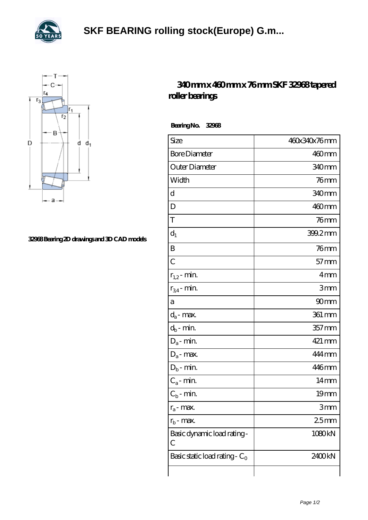

## **[SKF BEARING rolling stock\(Europe\) G.m...](https://levitra-genericos.com)**



## **[32968 Bearing 2D drawings and 3D CAD models](https://levitra-genericos.com/pic-587780.html)**

## **[340 mm x 460 mm x 76 mm SKF 32968 tapered](https://levitra-genericos.com/skf-32968-bearing/) [roller bearings](https://levitra-genericos.com/skf-32968-bearing/)**

 **Bearing No. 32968**

| Size                                         | 460x340x76mm      |
|----------------------------------------------|-------------------|
| <b>Bore Diameter</b>                         | 460mm             |
| Outer Diameter                               | 340 <sub>mm</sub> |
| Width                                        | $76$ mm           |
| d                                            | 340 <sub>mm</sub> |
| D                                            | 460mm             |
| T                                            | $76$ mm           |
| $d_1$                                        | 399.2mm           |
| B                                            | $76$ mm           |
| $\overline{C}$                               | $57 \text{mm}$    |
| $r_{1,2}$ - min.                             | 4mm               |
| $r_{34}$ - min.                              | 3mm               |
| a                                            | 90mm              |
| $d_a$ - max.                                 | 361 mm            |
| $d_b$ - min.                                 | $357$ mm          |
| $D_a$ - min.                                 | 421 mm            |
| $D_a$ - max.                                 | 444 mm            |
| $D_b$ - min.                                 | 446mm             |
| $C_a$ - min.                                 | 14 <sub>mm</sub>  |
| $C_b$ - min.                                 | 19 <sub>mm</sub>  |
| $r_a$ - max.                                 | 3mm               |
| $r_{b}$ - max.                               | 25 <sub>mm</sub>  |
| Basic dynamic load rating-<br>$\overline{C}$ | 1080kN            |
| Basic static load rating - $C_0$             | 2400kN            |
|                                              |                   |